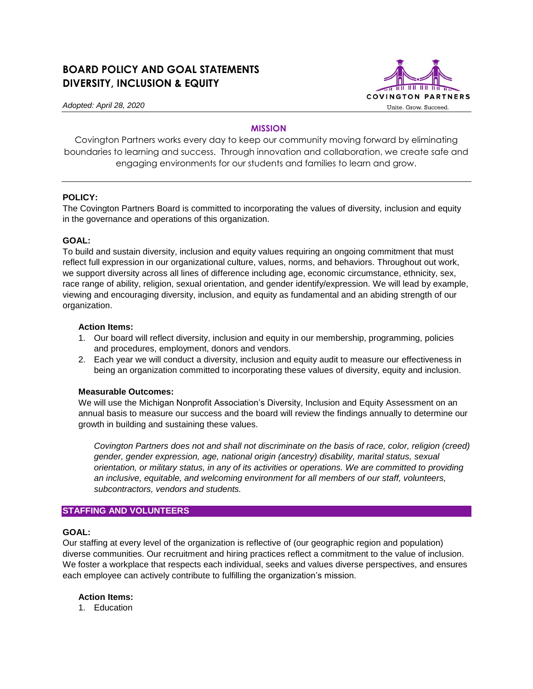# **BOARD POLICY AND GOAL STATEMENTS DIVERSITY, INCLUSION & EQUITY**



*Adopted: April 28, 2020*

# **MISSION**

Covington Partners works every day to keep our community moving forward by eliminating boundaries to learning and success. Through innovation and collaboration, we create safe and engaging environments for our students and families to learn and grow.

# **POLICY:**

The Covington Partners Board is committed to incorporating the values of diversity, inclusion and equity in the governance and operations of this organization.

#### **GOAL:**

To build and sustain diversity, inclusion and equity values requiring an ongoing commitment that must reflect full expression in our organizational culture, values, norms, and behaviors. Throughout out work, we support diversity across all lines of difference including age, economic circumstance, ethnicity, sex, race range of ability, religion, sexual orientation, and gender identify/expression. We will lead by example, viewing and encouraging diversity, inclusion, and equity as fundamental and an abiding strength of our organization.

#### **Action Items:**

- 1. Our board will reflect diversity, inclusion and equity in our membership, programming, policies and procedures, employment, donors and vendors.
- 2. Each year we will conduct a diversity, inclusion and equity audit to measure our effectiveness in being an organization committed to incorporating these values of diversity, equity and inclusion.

# **Measurable Outcomes:**

We will use the Michigan Nonprofit Association's Diversity, Inclusion and Equity Assessment on an annual basis to measure our success and the board will review the findings annually to determine our growth in building and sustaining these values.

*Covington Partners does not and shall not discriminate on the basis of race, color, religion (creed) gender, gender expression, age, national origin (ancestry) disability, marital status, sexual orientation, or military status, in any of its activities or operations. We are committed to providing an inclusive, equitable, and welcoming environment for all members of our staff, volunteers, subcontractors, vendors and students.*

# **STAFFING AND VOLUNTEERS**

#### **GOAL:**

Our staffing at every level of the organization is reflective of (our geographic region and population) diverse communities. Our recruitment and hiring practices reflect a commitment to the value of inclusion. We foster a workplace that respects each individual, seeks and values diverse perspectives, and ensures each employee can actively contribute to fulfilling the organization's mission.

#### **Action Items:**

1. Education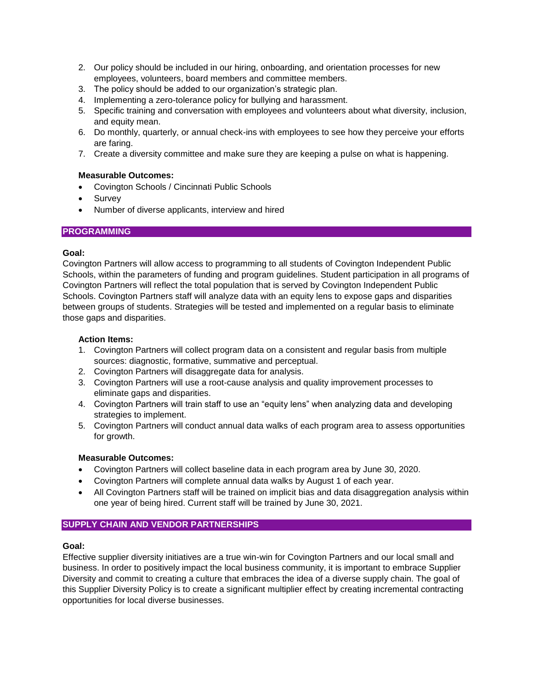- 2. Our policy should be included in our hiring, onboarding, and orientation processes for new employees, volunteers, board members and committee members.
- 3. The policy should be added to our organization's strategic plan.
- 4. Implementing a zero-tolerance policy for bullying and harassment.
- 5. Specific training and conversation with employees and volunteers about what diversity, inclusion, and equity mean.
- 6. Do monthly, quarterly, or annual check-ins with employees to see how they perceive your efforts are faring.
- 7. Create a diversity committee and make sure they are keeping a pulse on what is happening.

#### **Measurable Outcomes:**

- Covington Schools / Cincinnati Public Schools
- Survey
- Number of diverse applicants, interview and hired

# **PROGRAMMING**

# **Goal:**

Covington Partners will allow access to programming to all students of Covington Independent Public Schools, within the parameters of funding and program guidelines. Student participation in all programs of Covington Partners will reflect the total population that is served by Covington Independent Public Schools. Covington Partners staff will analyze data with an equity lens to expose gaps and disparities between groups of students. Strategies will be tested and implemented on a regular basis to eliminate those gaps and disparities.

# **Action Items:**

- 1. Covington Partners will collect program data on a consistent and regular basis from multiple sources: diagnostic, formative, summative and perceptual.
- 2. Covington Partners will disaggregate data for analysis.
- 3. Covington Partners will use a root-cause analysis and quality improvement processes to eliminate gaps and disparities.
- 4. Covington Partners will train staff to use an "equity lens" when analyzing data and developing strategies to implement.
- 5. Covington Partners will conduct annual data walks of each program area to assess opportunities for growth.

#### **Measurable Outcomes:**

- Covington Partners will collect baseline data in each program area by June 30, 2020.
- Covington Partners will complete annual data walks by August 1 of each year.
- All Covington Partners staff will be trained on implicit bias and data disaggregation analysis within one year of being hired. Current staff will be trained by June 30, 2021.

# **SUPPLY CHAIN AND VENDOR PARTNERSHIPS**

#### **Goal:**

Effective supplier diversity initiatives are a true win-win for Covington Partners and our local small and business. In order to positively impact the local business community, it is important to embrace Supplier Diversity and commit to creating a culture that embraces the idea of a diverse supply chain. The goal of this Supplier Diversity Policy is to create a significant multiplier effect by creating incremental contracting opportunities for local diverse businesses.